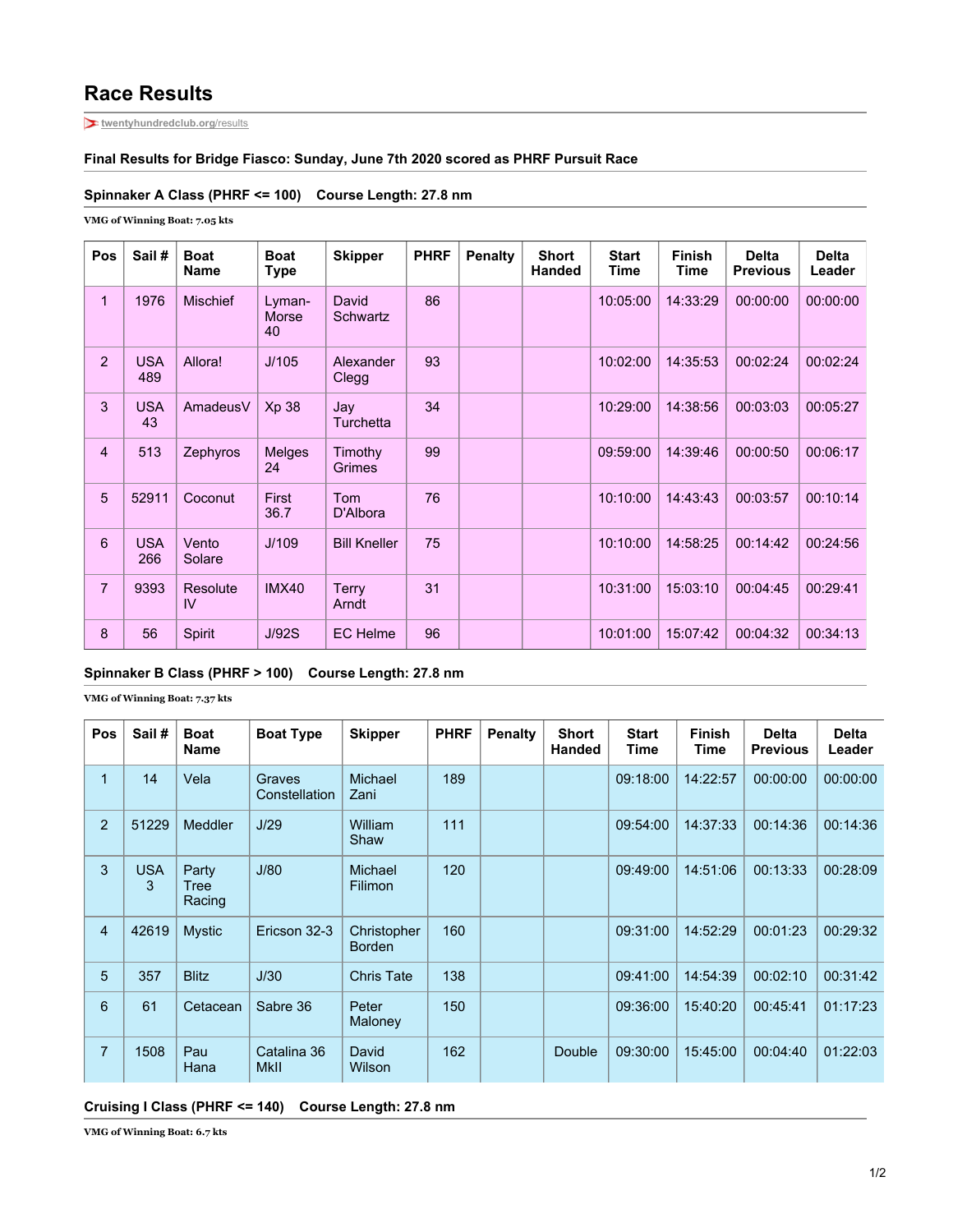# **Race Results**

**[twentyhundredclub.org](https://twentyhundredclub.org/results/?race=3Bridge&yr=2020)**/results

#### **Final Results for Bridge Fiasco: Sunday, June 7th 2020 scored as PHRF Pursuit Race**

### **Spinnaker A Class (PHRF <= 100) Course Length: 27.8 nm**

**VMG of Winning Boat: 7.05 kts**

| Pos            | Sail#             | <b>Boat</b><br><b>Name</b> | <b>Boat</b><br><b>Type</b>   | <b>Skipper</b>           | <b>PHRF</b> | <b>Penalty</b> | <b>Short</b><br><b>Handed</b> | <b>Start</b><br>Time | <b>Finish</b><br><b>Time</b> | <b>Delta</b><br><b>Previous</b> | <b>Delta</b><br>Leader |
|----------------|-------------------|----------------------------|------------------------------|--------------------------|-------------|----------------|-------------------------------|----------------------|------------------------------|---------------------------------|------------------------|
| 1              | 1976              | <b>Mischief</b>            | Lyman-<br><b>Morse</b><br>40 | David<br>Schwartz        | 86          |                |                               | 10:05:00             | 14:33:29                     | 00:00:00                        | 00:00:00               |
| 2              | <b>USA</b><br>489 | Allora!                    | J/105                        | Alexander<br>Clegg       | 93          |                |                               | 10:02:00             | 14:35:53                     | 00:02:24                        | 00:02:24               |
| 3              | <b>USA</b><br>43  | AmadeusV                   | Xp 38                        | Jay<br><b>Turchetta</b>  | 34          |                |                               | 10:29:00             | 14:38:56                     | 00:03:03                        | 00:05:27               |
| 4              | 513               | Zephyros                   | Melges<br>24                 | Timothy<br><b>Grimes</b> | 99          |                |                               | 09:59:00             | 14:39:46                     | 00:00:50                        | 00:06:17               |
| 5              | 52911             | Coconut                    | First<br>36.7                | Tom<br>D'Albora          | 76          |                |                               | 10:10:00             | 14:43:43                     | 00:03:57                        | 00:10:14               |
| 6              | <b>USA</b><br>266 | Vento<br>Solare            | J/109                        | <b>Bill Kneller</b>      | 75          |                |                               | 10:10:00             | 14:58:25                     | 00:14:42                        | 00:24:56               |
| $\overline{7}$ | 9393              | Resolute<br><b>IV</b>      | <b>IMX40</b>                 | <b>Terry</b><br>Arndt    | 31          |                |                               | 10:31:00             | 15:03:10                     | 00:04:45                        | 00:29:41               |
| 8              | 56                | Spirit                     | J/92S                        | <b>EC</b> Helme          | 96          |                |                               | 10:01:00             | 15:07:42                     | 00:04:32                        | 00:34:13               |

### **Spinnaker B Class (PHRF > 100) Course Length: 27.8 nm**

**VMG of Winning Boat: 7.37 kts**

| Pos            | Sail#           | <b>Boat</b><br><b>Name</b> | <b>Boat Type</b>           | <b>Skipper</b>               | <b>PHRF</b> | <b>Penalty</b> | <b>Short</b><br><b>Handed</b> | <b>Start</b><br><b>Time</b> | <b>Finish</b><br>Time | <b>Delta</b><br><b>Previous</b> | <b>Delta</b><br>Leader |
|----------------|-----------------|----------------------------|----------------------------|------------------------------|-------------|----------------|-------------------------------|-----------------------------|-----------------------|---------------------------------|------------------------|
| 1              | 14              | Vela                       | Graves<br>Constellation    | Michael<br>Zani              | 189         |                |                               | 09:18:00                    | 14:22:57              | 00:00:00                        | 00:00:00               |
| $\overline{2}$ | 51229           | Meddler                    | J/29                       | William<br>Shaw              | 111         |                |                               | 09:54:00                    | 14:37:33              | 00:14:36                        | 00:14:36               |
| 3              | <b>USA</b><br>3 | Party<br>Tree<br>Racing    | J/80                       | Michael<br>Filimon           | 120         |                |                               | 09:49:00                    | 14:51:06              | 00:13:33                        | 00:28:09               |
| 4              | 42619           | <b>Mystic</b>              | Ericson 32-3               | Christopher<br><b>Borden</b> | 160         |                |                               | 09:31:00                    | 14:52:29              | 00:01:23                        | 00:29:32               |
| 5              | 357             | <b>Blitz</b>               | J/30                       | <b>Chris Tate</b>            | 138         |                |                               | 09:41:00                    | 14:54:39              | 00:02:10                        | 00:31:42               |
| 6              | 61              | Cetacean                   | Sabre 36                   | Peter<br>Maloney             | 150         |                |                               | 09:36:00                    | 15:40:20              | 00:45:41                        | 01:17:23               |
| $\overline{7}$ | 1508            | Pau<br>Hana                | Catalina 36<br><b>MkII</b> | David<br>Wilson              | 162         |                | Double                        | 09:30:00                    | 15:45:00              | 00:04:40                        | 01:22:03               |

#### **Cruising I Class (PHRF <= 140) Course Length: 27.8 nm**

**VMG of Winning Boat: 6.7 kts**